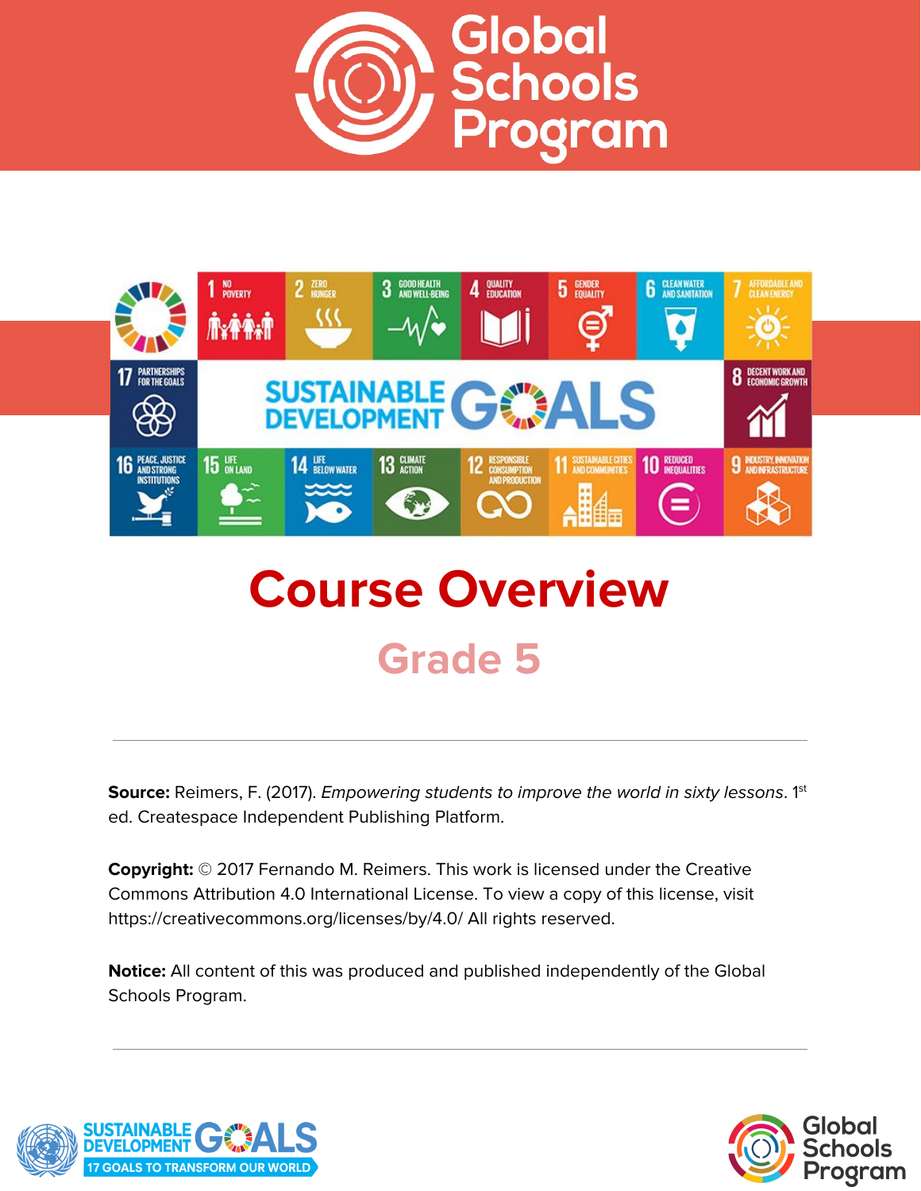



# **Course Overview Grade 5**

**Source:** Reimers, F. (2017). *Empowering students to improve the world in sixty lessons.* 1<sup>st</sup> ed. Createspace Independent Publishing Platform.

**Copyright:** © 2017 Fernando M. Reimers. This work is licensed under the Creative Commons Attribution 4.0 International License. To view a copy of this license, visit https://creativecommons.org/licenses/by/4.0/ All rights reserved.

**Notice:** All content of this was produced and published independently of the Global Schools Program.



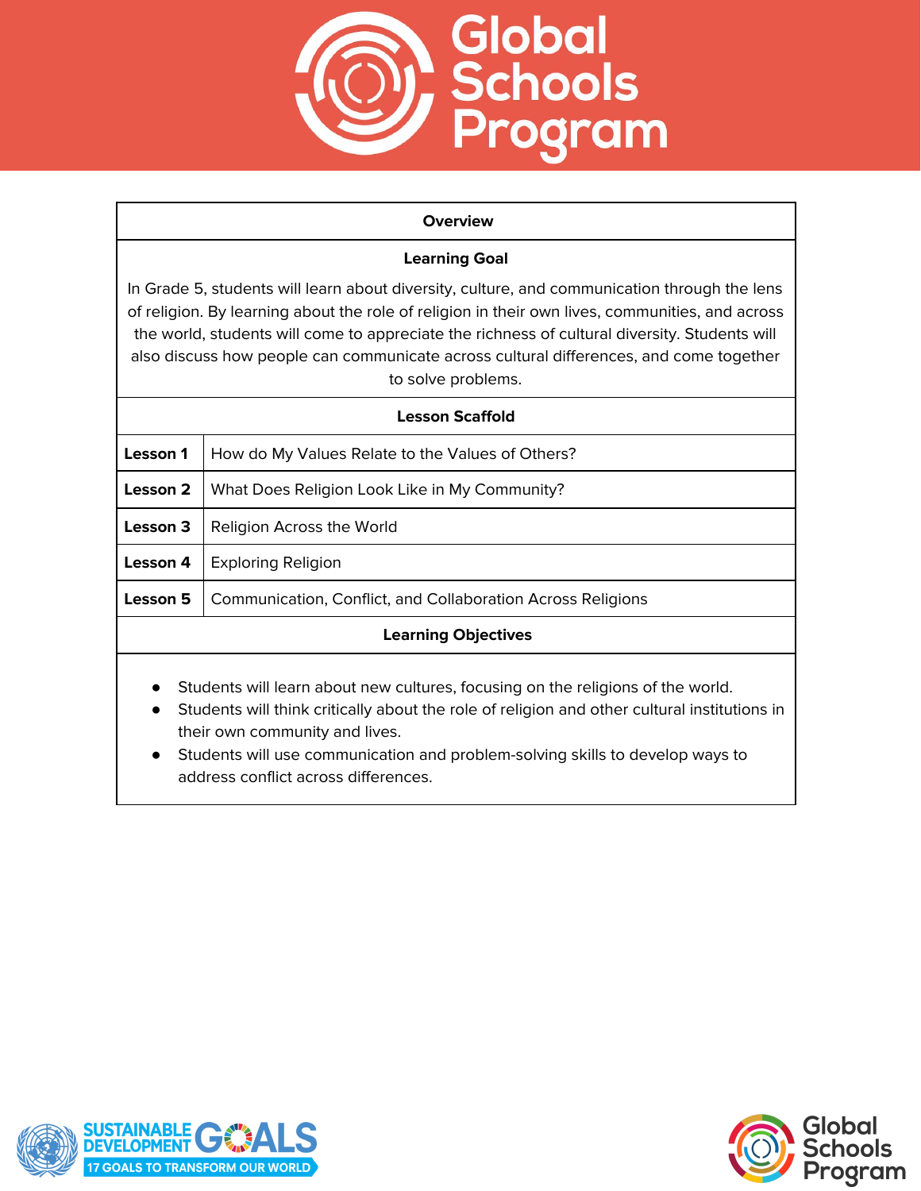

#### **Overview**

## **Learning Goal**

In Grade 5, students will learn about diversity, culture, and communication through the lens of religion. By learning about the role of religion in their own lives, communities, and across the world, students will come to appreciate the richness of cultural diversity. Students will also discuss how people can communicate across cultural differences, and come together to solve problems.

| <b>Lesson Scaffold</b>                                                        |                                                             |
|-------------------------------------------------------------------------------|-------------------------------------------------------------|
| Lesson 1                                                                      | How do My Values Relate to the Values of Others?            |
| Lesson 2                                                                      | What Does Religion Look Like in My Community?               |
| Lesson 3                                                                      | Religion Across the World                                   |
| Lesson 4                                                                      | <b>Exploring Religion</b>                                   |
| Lesson 5                                                                      | Communication, Conflict, and Collaboration Across Religions |
| <b>Learning Objectives</b>                                                    |                                                             |
| Students will learn about now sultures fecusing on the religions of the world |                                                             |

- Students will learn about new cultures, focusing on the religions of the world.
- Students will think critically about the role of religion and other cultural institutions in their own community and lives.
- Students will use communication and problem-solving skills to develop ways to address conflict across differences.



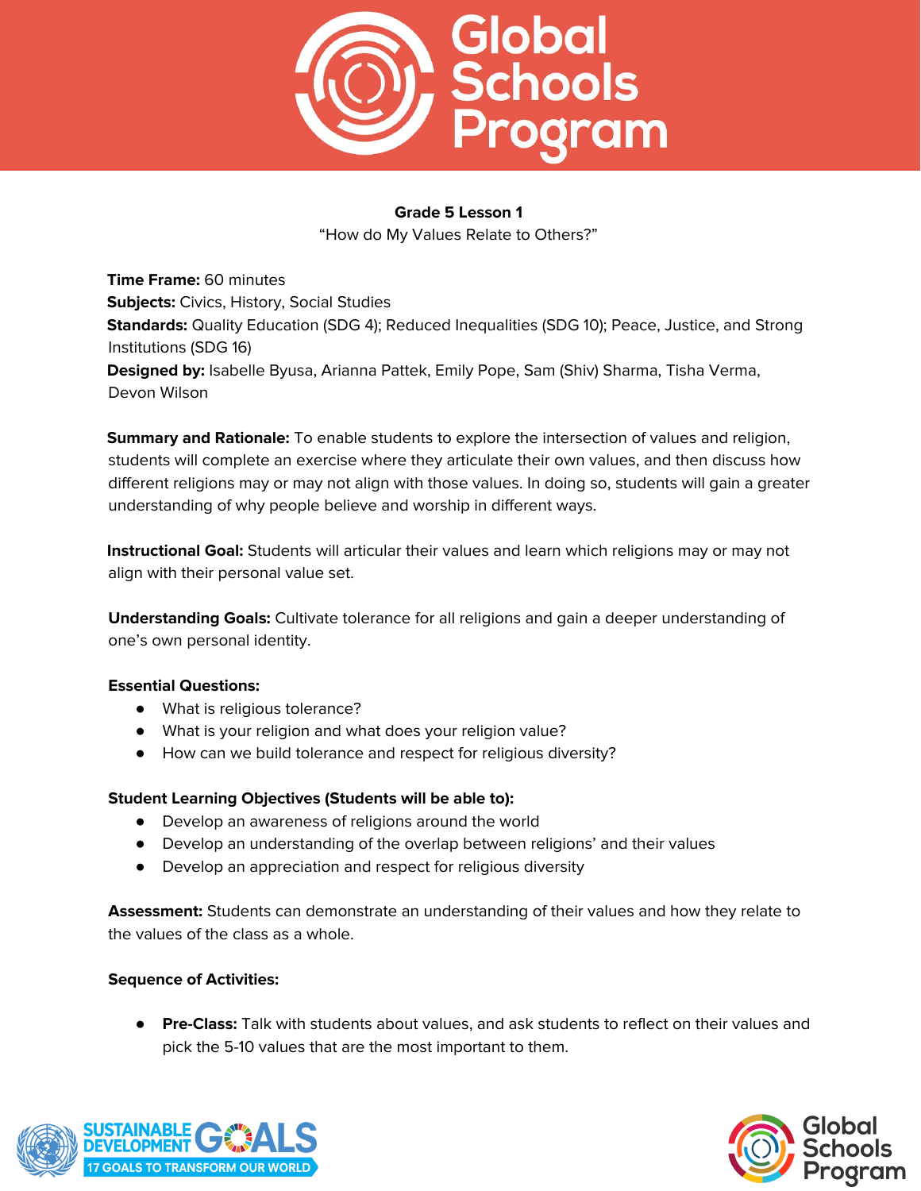

"How do My Values Relate to Others?"

**Time Frame:** 60 minutes **Subjects:** Civics, History, Social Studies **Standards:** Quality Education (SDG 4); Reduced Inequalities (SDG 10); Peace, Justice, and Strong Institutions (SDG 16) **Designed by:** Isabelle Byusa, Arianna Pattek, Emily Pope, Sam (Shiv) Sharma, Tisha Verma, Devon Wilson

**Summary and Rationale:** To enable students to explore the intersection of values and religion, students will complete an exercise where they articulate their own values, and then discuss how different religions may or may not align with those values. In doing so, students will gain a greater understanding of why people believe and worship in different ways.

**Instructional Goal:** Students will articular their values and learn which religions may or may not align with their personal value set.

**Understanding Goals:** Cultivate tolerance for all religions and gain a deeper understanding of one's own personal identity.

## **Essential Questions:**

- What is religious tolerance?
- What is your religion and what does your religion value?
- How can we build tolerance and respect for religious diversity?

## **Student Learning Objectives (Students will be able to):**

- Develop an awareness of religions around the world
- Develop an understanding of the overlap between religions' and their values
- Develop an appreciation and respect for religious diversity

**Assessment:** Students can demonstrate an understanding of their values and how they relate to the values of the class as a whole.

## **Sequence of Activities:**

● **Pre-Class:** Talk with students about values, and ask students to reflect on their values and pick the 5-10 values that are the most important to them.



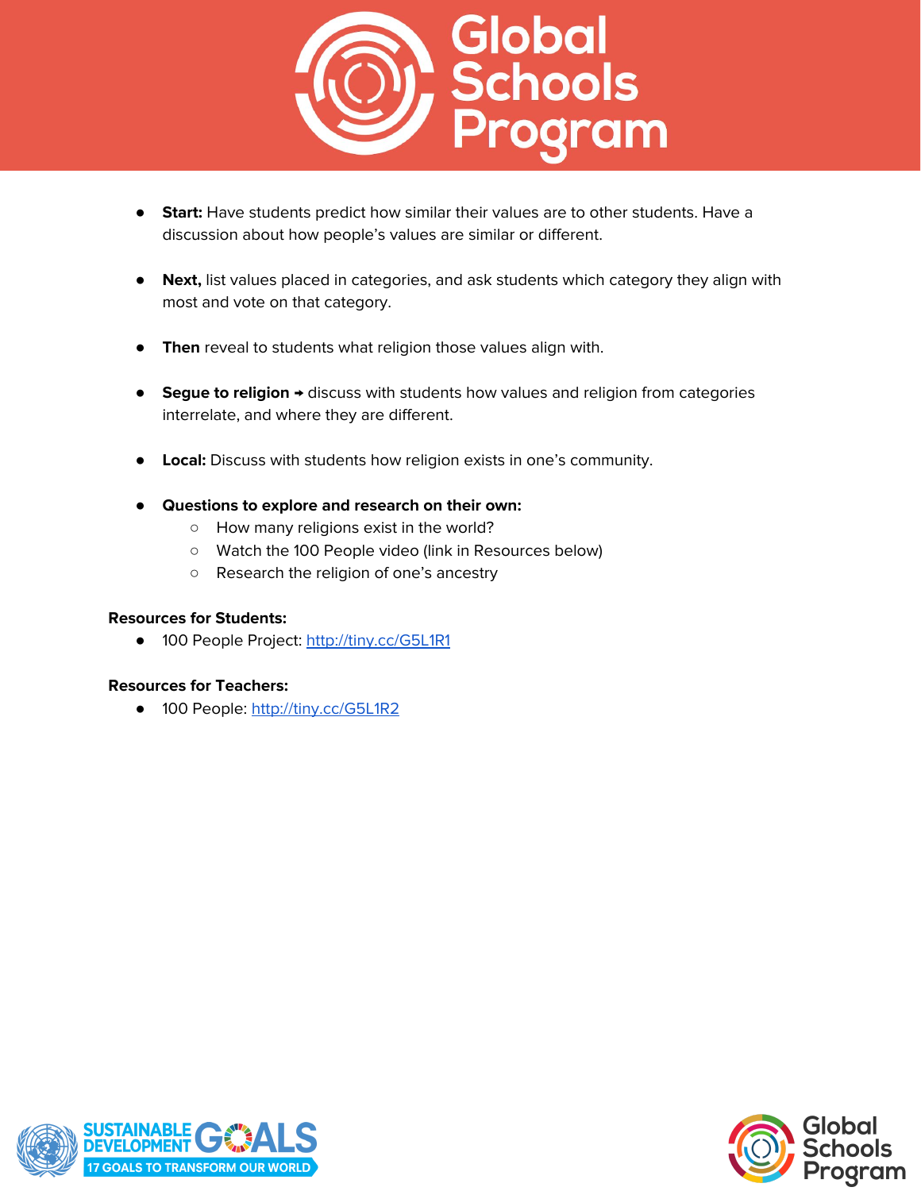

- **Start:** Have students predict how similar their values are to other students. Have a discussion about how people's values are similar or different.
- **Next,** list values placed in categories, and ask students which category they align with most and vote on that category.
- **Then** reveal to students what religion those values align with.
- **Segue to religion →** discuss with students how values and religion from categories interrelate, and where they are different.
- **Local:** Discuss with students how religion exists in one's community.
- **Questions to explore and research on their own:**
	- How many religions exist in the world?
	- Watch the 100 People video (link in Resources below)
	- Research the religion of one's ancestry

## **Resources for Students:**

● 100 People Project: <http://tiny.cc/G5L1R1>

## **Resources for Teachers:**

**●** 100 People: <http://tiny.cc/G5L1R2>



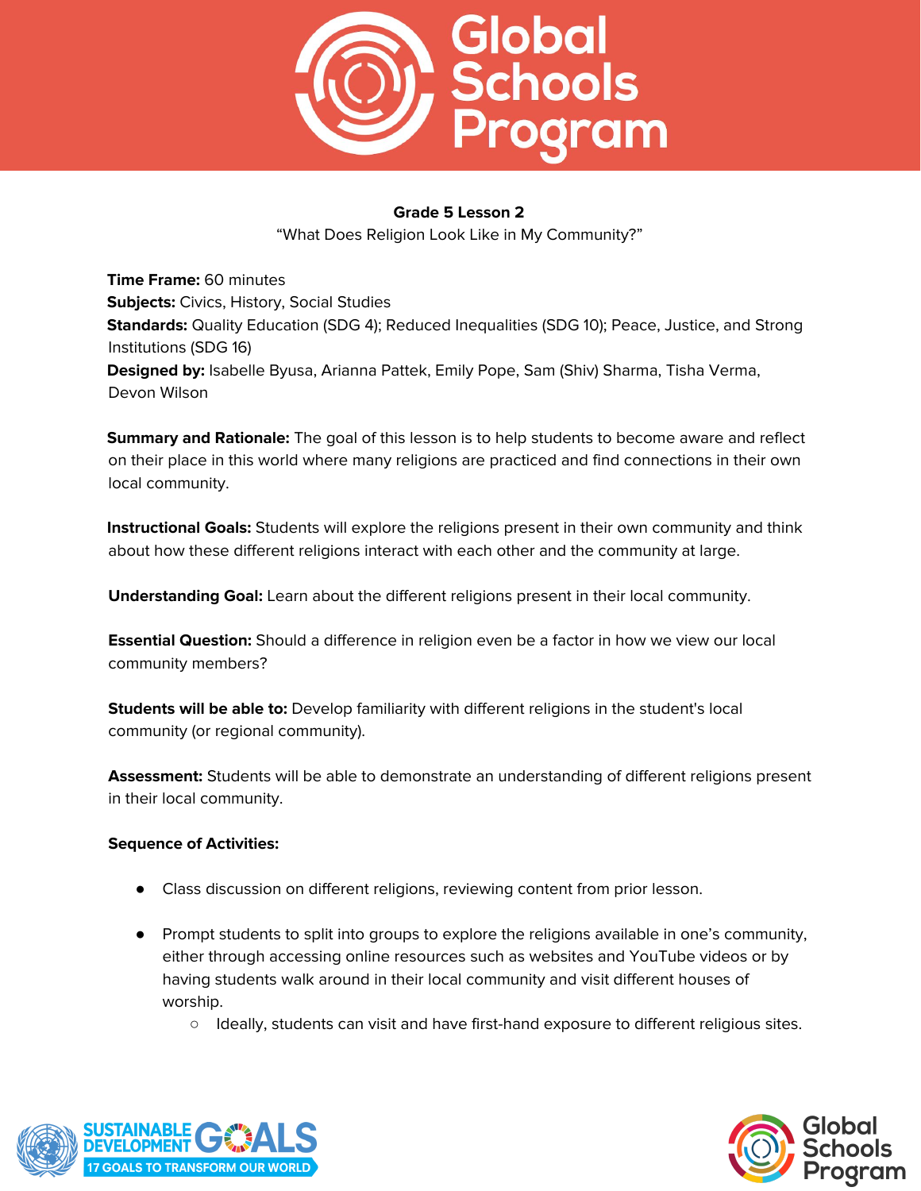

"What Does Religion Look Like in My Community?"

**Time Frame:** 60 minutes **Subjects:** Civics, History, Social Studies **Standards:** Quality Education (SDG 4); Reduced Inequalities (SDG 10); Peace, Justice, and Strong Institutions (SDG 16) **Designed by:** Isabelle Byusa, Arianna Pattek, Emily Pope, Sam (Shiv) Sharma, Tisha Verma, Devon Wilson

**Summary and Rationale:** The goal of this lesson is to help students to become aware and reflect on their place in this world where many religions are practiced and find connections in their own local community.

**Instructional Goals:** Students will explore the religions present in their own community and think about how these different religions interact with each other and the community at large.

**Understanding Goal:** Learn about the different religions present in their local community.

**Essential Question:** Should a difference in religion even be a factor in how we view our local community members?

**Students will be able to:** Develop familiarity with different religions in the student's local community (or regional community).

**Assessment:** Students will be able to demonstrate an understanding of different religions present in their local community.

- Class discussion on different religions, reviewing content from prior lesson.
- Prompt students to split into groups to explore the religions available in one's community, either through accessing online resources such as websites and YouTube videos or by having students walk around in their local community and visit different houses of worship.
	- Ideally, students can visit and have first-hand exposure to different religious sites.



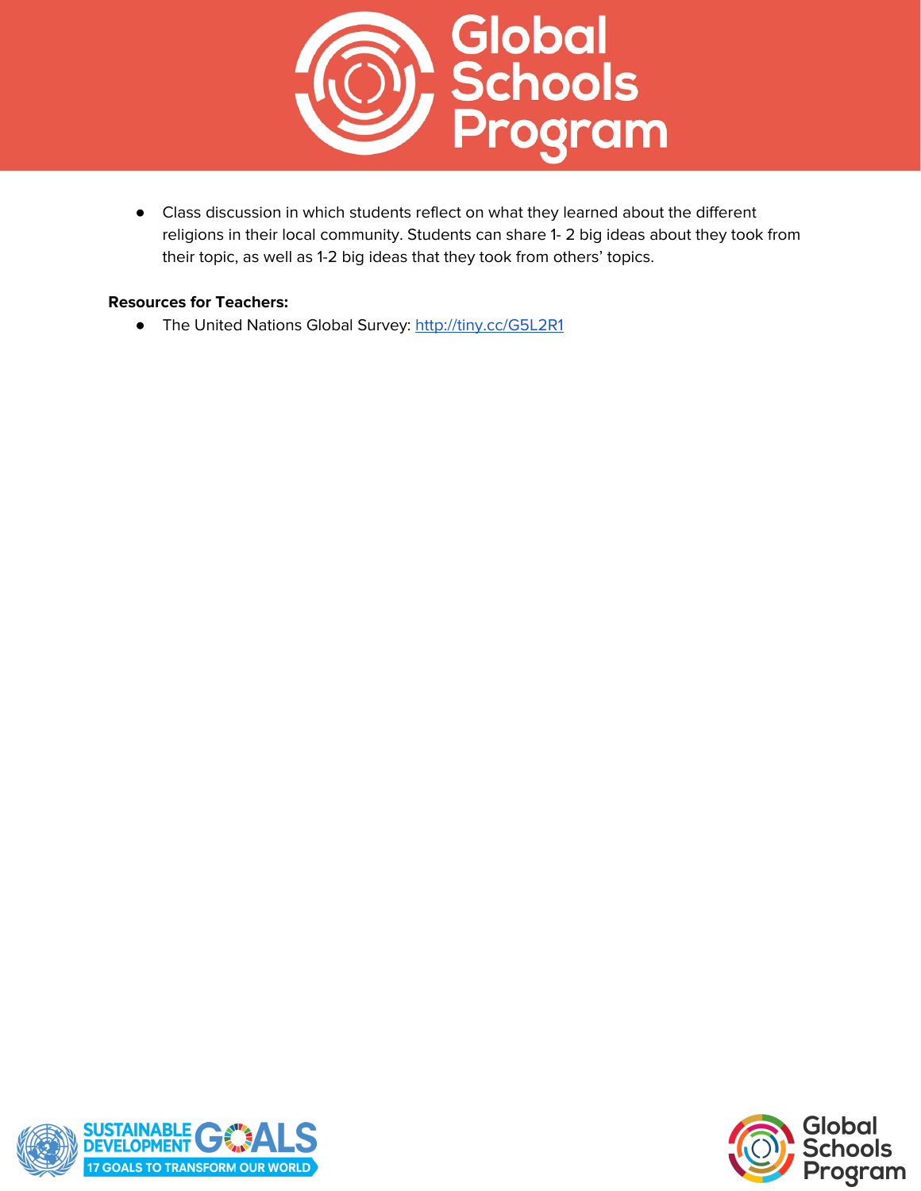

● Class discussion in which students reflect on what they learned about the different religions in their local community. Students can share 1- 2 big ideas about they took from their topic, as well as 1-2 big ideas that they took from others' topics.

## **Resources for Teachers:**

● The United Nations Global Survey: <http://tiny.cc/G5L2R1>



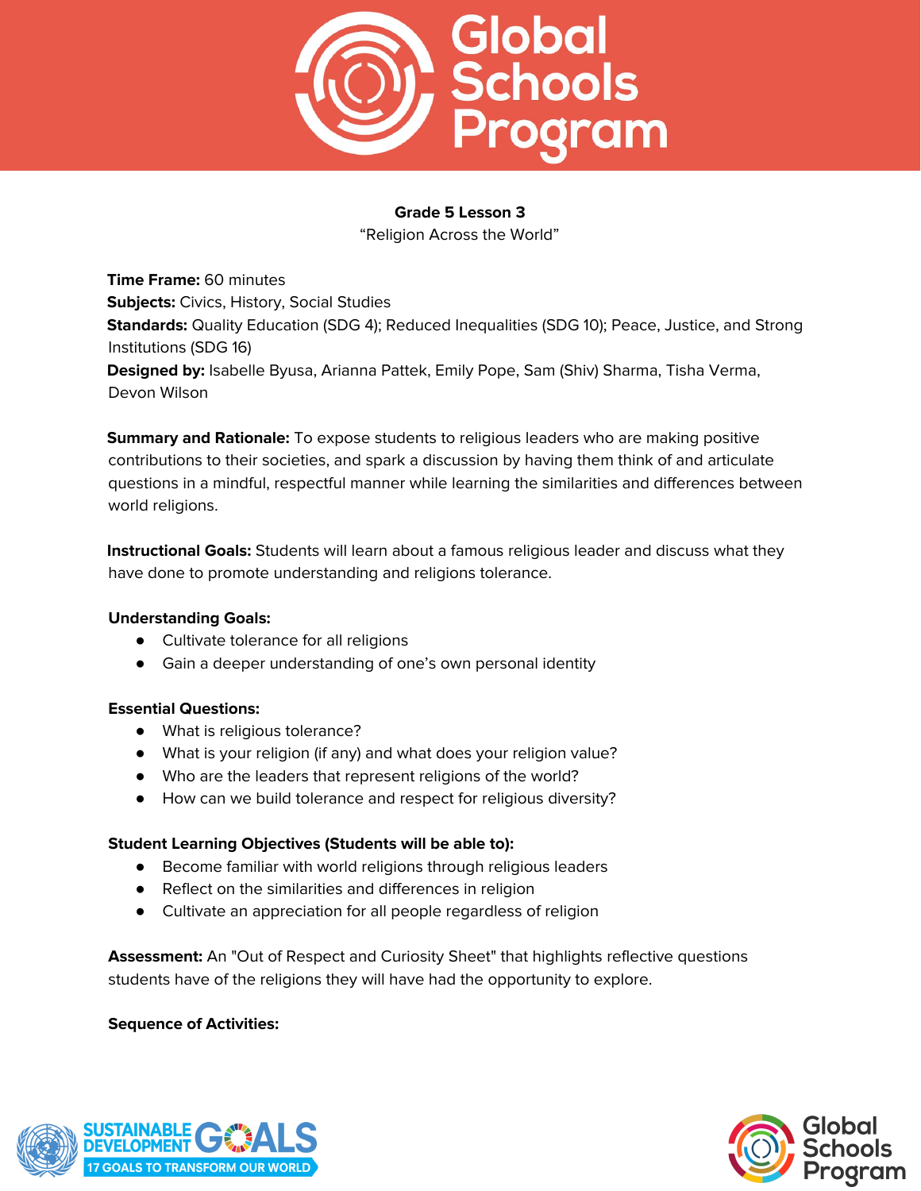

"Religion Across the World"

**Time Frame:** 60 minutes **Subjects:** Civics, History, Social Studies **Standards:** Quality Education (SDG 4); Reduced Inequalities (SDG 10); Peace, Justice, and Strong Institutions (SDG 16) **Designed by:** Isabelle Byusa, Arianna Pattek, Emily Pope, Sam (Shiv) Sharma, Tisha Verma, Devon Wilson

**Summary and Rationale:** To expose students to religious leaders who are making positive contributions to their societies, and spark a discussion by having them think of and articulate questions in a mindful, respectful manner while learning the similarities and differences between world religions.

**Instructional Goals:** Students will learn about a famous religious leader and discuss what they have done to promote understanding and religions tolerance.

## **Understanding Goals:**

- Cultivate tolerance for all religions
- Gain a deeper understanding of one's own personal identity

## **Essential Questions:**

- What is religious tolerance?
- What is your religion (if any) and what does your religion value?
- Who are the leaders that represent religions of the world?
- How can we build tolerance and respect for religious diversity?

## **Student Learning Objectives (Students will be able to):**

- Become familiar with world religions through religious leaders
- Reflect on the similarities and differences in religion
- Cultivate an appreciation for all people regardless of religion

**Assessment:** An "Out of Respect and Curiosity Sheet" that highlights reflective questions students have of the religions they will have had the opportunity to explore.



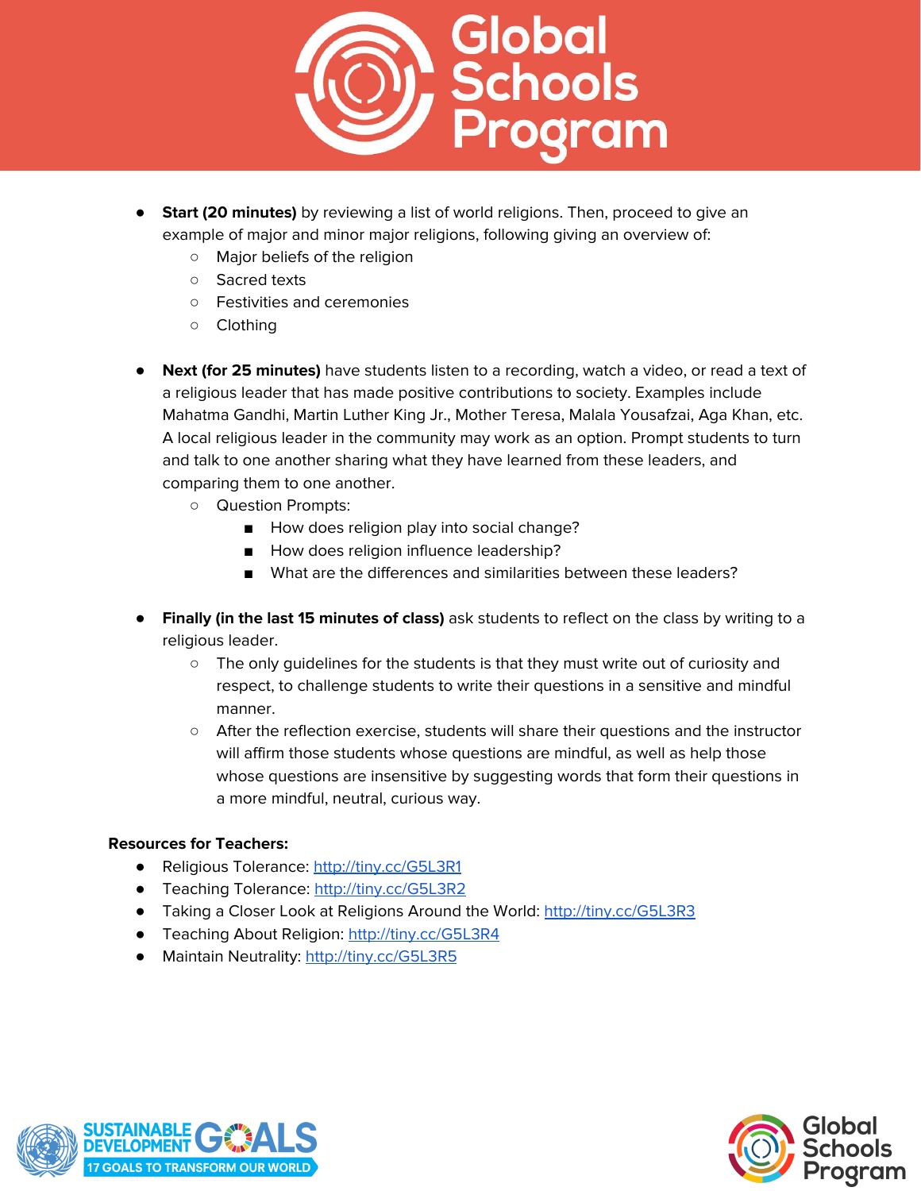

- **Start (20 minutes)** by reviewing a list of world religions. Then, proceed to give an example of major and minor major religions, following giving an overview of:
	- Major beliefs of the religion
	- Sacred texts
	- Festivities and ceremonies
	- Clothing
- **Next (for 25 minutes)** have students listen to a recording, watch a video, or read a text of a religious leader that has made positive contributions to society. Examples include Mahatma Gandhi, Martin Luther King Jr., Mother Teresa, Malala Yousafzai, Aga Khan, etc. A local religious leader in the community may work as an option. Prompt students to turn and talk to one another sharing what they have learned from these leaders, and comparing them to one another.
	- Question Prompts:
		- How does religion play into social change?
		- How does religion influence leadership?
		- What are the differences and similarities between these leaders?
- **Finally (in the last 15 minutes of class)** ask students to reflect on the class by writing to a religious leader.
	- $\circ$  The only quidelines for the students is that they must write out of curiosity and respect, to challenge students to write their questions in a sensitive and mindful manner.
	- After the reflection exercise, students will share their questions and the instructor will affirm those students whose questions are mindful, as well as help those whose questions are insensitive by suggesting words that form their questions in a more mindful, neutral, curious way.

## **Resources for Teachers:**

- Religious Tolerance: <http://tiny.cc/G5L3R1>
- Teaching Tolerance: <http://tiny.cc/G5L3R2>
- Taking a Closer Look at Religions Around the World: <http://tiny.cc/G5L3R3>
- Teaching About Religion: <http://tiny.cc/G5L3R4>
- Maintain Neutrality: <http://tiny.cc/G5L3R5>



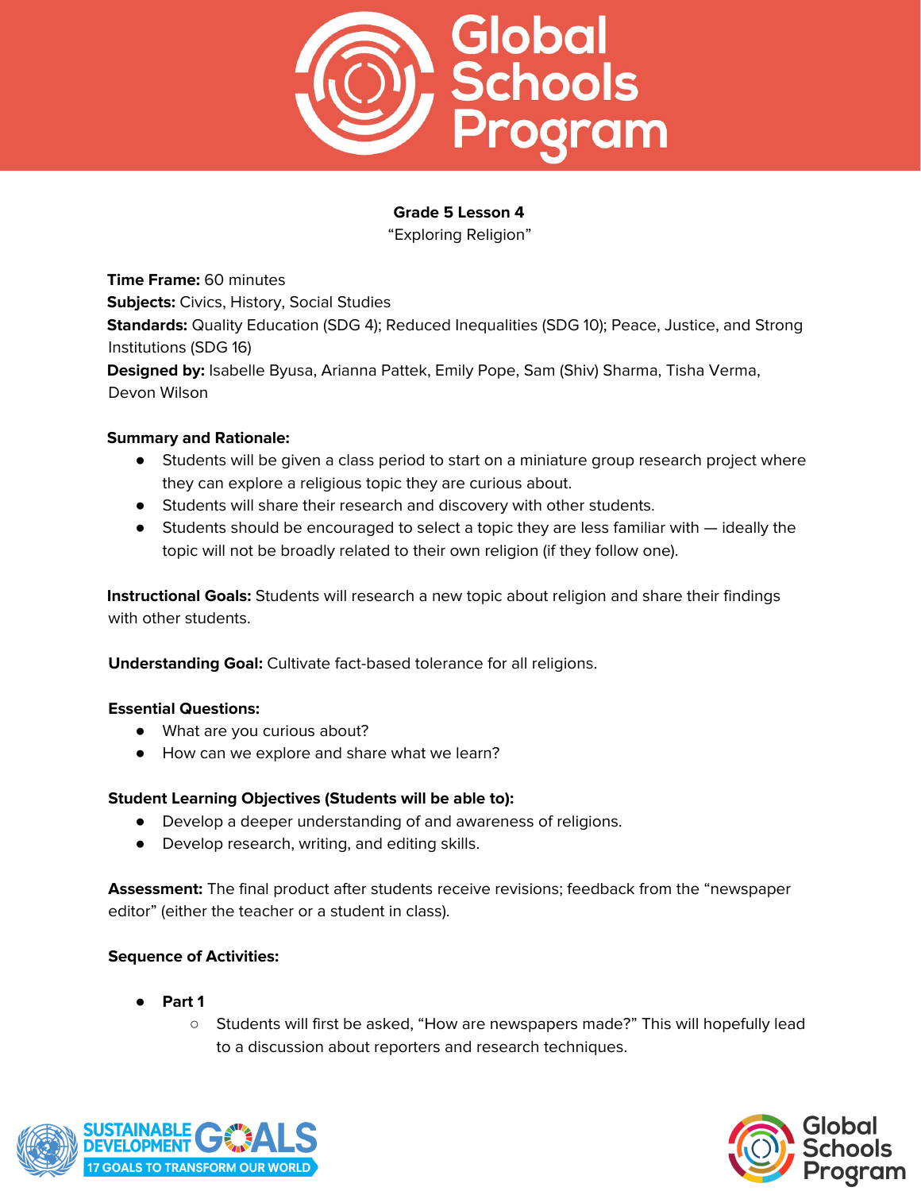

"Exploring Religion"

**Time Frame:** 60 minutes **Subjects:** Civics, History, Social Studies **Standards:** Quality Education (SDG 4); Reduced Inequalities (SDG 10); Peace, Justice, and Strong Institutions (SDG 16) **Designed by:** Isabelle Byusa, Arianna Pattek, Emily Pope, Sam (Shiv) Sharma, Tisha Verma, Devon Wilson

## **Summary and Rationale:**

- Students will be given a class period to start on a miniature group research project where they can explore a religious topic they are curious about.
- Students will share their research and discovery with other students.
- Students should be encouraged to select a topic they are less familiar with ideally the topic will not be broadly related to their own religion (if they follow one).

**Instructional Goals:** Students will research a new topic about religion and share their findings with other students.

**Understanding Goal:** Cultivate fact-based tolerance for all religions.

## **Essential Questions:**

- What are you curious about?
- How can we explore and share what we learn?

# **Student Learning Objectives (Students will be able to):**

- Develop a deeper understanding of and awareness of religions.
- Develop research, writing, and editing skills.

**Assessment:** The final product after students receive revisions; feedback from the "newspaper editor" (either the teacher or a student in class).

- **Part 1** 
	- Students will first be asked, "How are newspapers made?" This will hopefully lead to a discussion about reporters and research techniques.



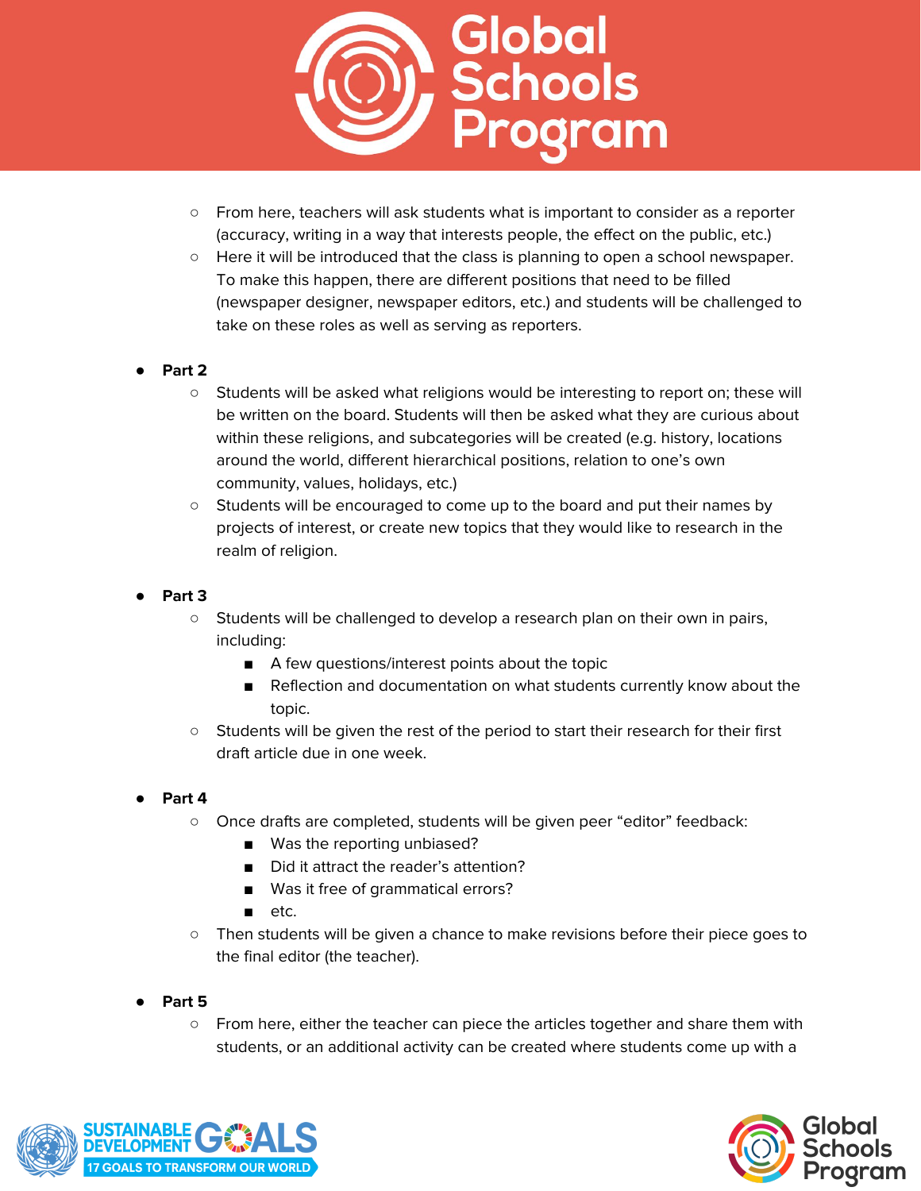

- From here, teachers will ask students what is important to consider as a reporter (accuracy, writing in a way that interests people, the effect on the public, etc.)
- Here it will be introduced that the class is planning to open a school newspaper. To make this happen, there are different positions that need to be filled (newspaper designer, newspaper editors, etc.) and students will be challenged to take on these roles as well as serving as reporters.

## ● **Part 2**

- Students will be asked what religions would be interesting to report on; these will be written on the board. Students will then be asked what they are curious about within these religions, and subcategories will be created (e.g. history, locations around the world, different hierarchical positions, relation to one's own community, values, holidays, etc.)
- Students will be encouraged to come up to the board and put their names by projects of interest, or create new topics that they would like to research in the realm of religion.
- **Part 3**
	- Students will be challenged to develop a research plan on their own in pairs, including:
		- A few questions/interest points about the topic
		- Reflection and documentation on what students currently know about the topic.
	- Students will be given the rest of the period to start their research for their first draft article due in one week.
- Part 4
	- Once drafts are completed, students will be given peer "editor" feedback:
		- Was the reporting unbiased?
		- Did it attract the reader's attention?
		- Was it free of grammatical errors?
		- etc.
	- Then students will be given a chance to make revisions before their piece goes to the final editor (the teacher).
- **Part 5**
	- From here, either the teacher can piece the articles together and share them with students, or an additional activity can be created where students come up with a



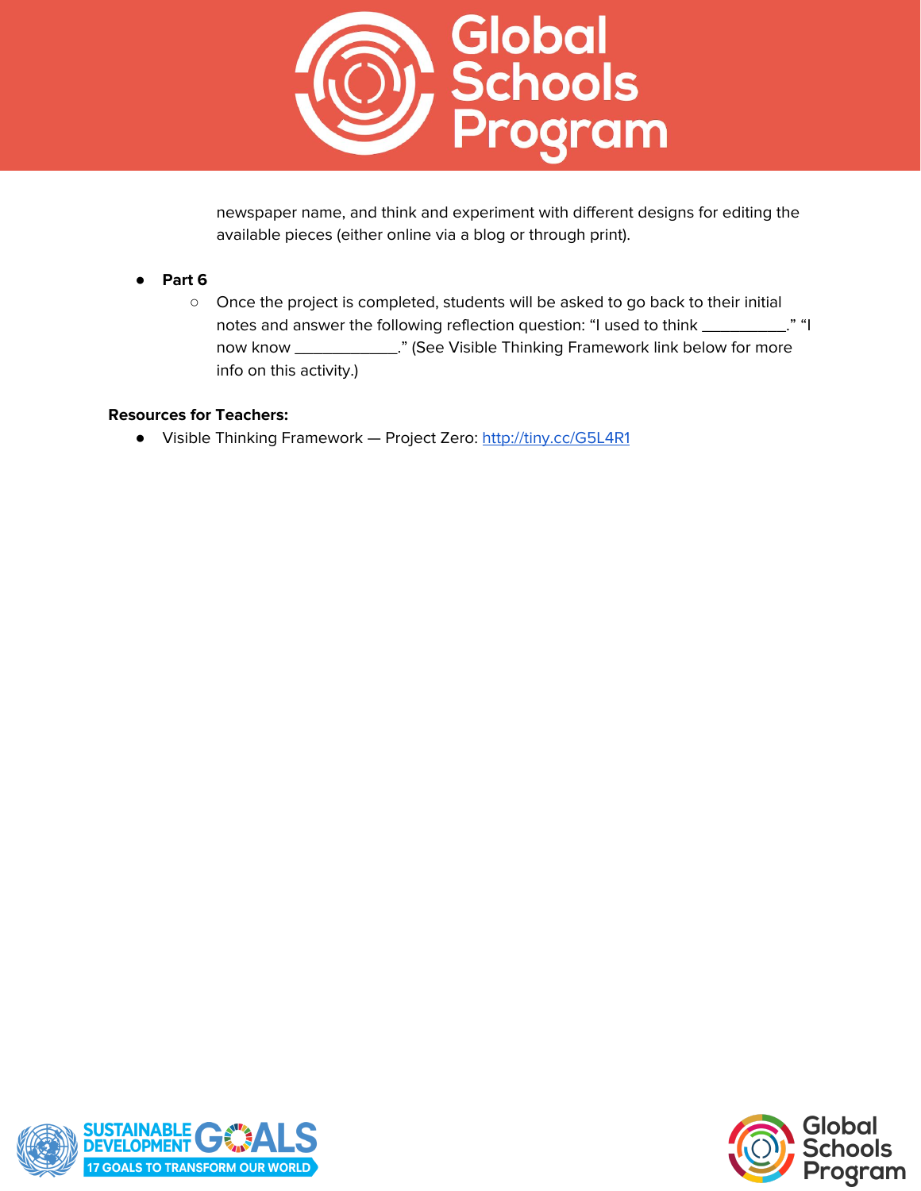

newspaper name, and think and experiment with different designs for editing the available pieces (either online via a blog or through print).

## ● **Part 6**

○ Once the project is completed, students will be asked to go back to their initial notes and answer the following reflection question: "I used to think \_\_\_\_\_\_\_\_\_." "I now know \_\_\_\_\_\_\_\_\_\_\_." (See Visible Thinking Framework link below for more info on this activity.)

## **Resources for Teachers:**

● Visible Thinking Framework — Project Zero: <http://tiny.cc/G5L4R1>



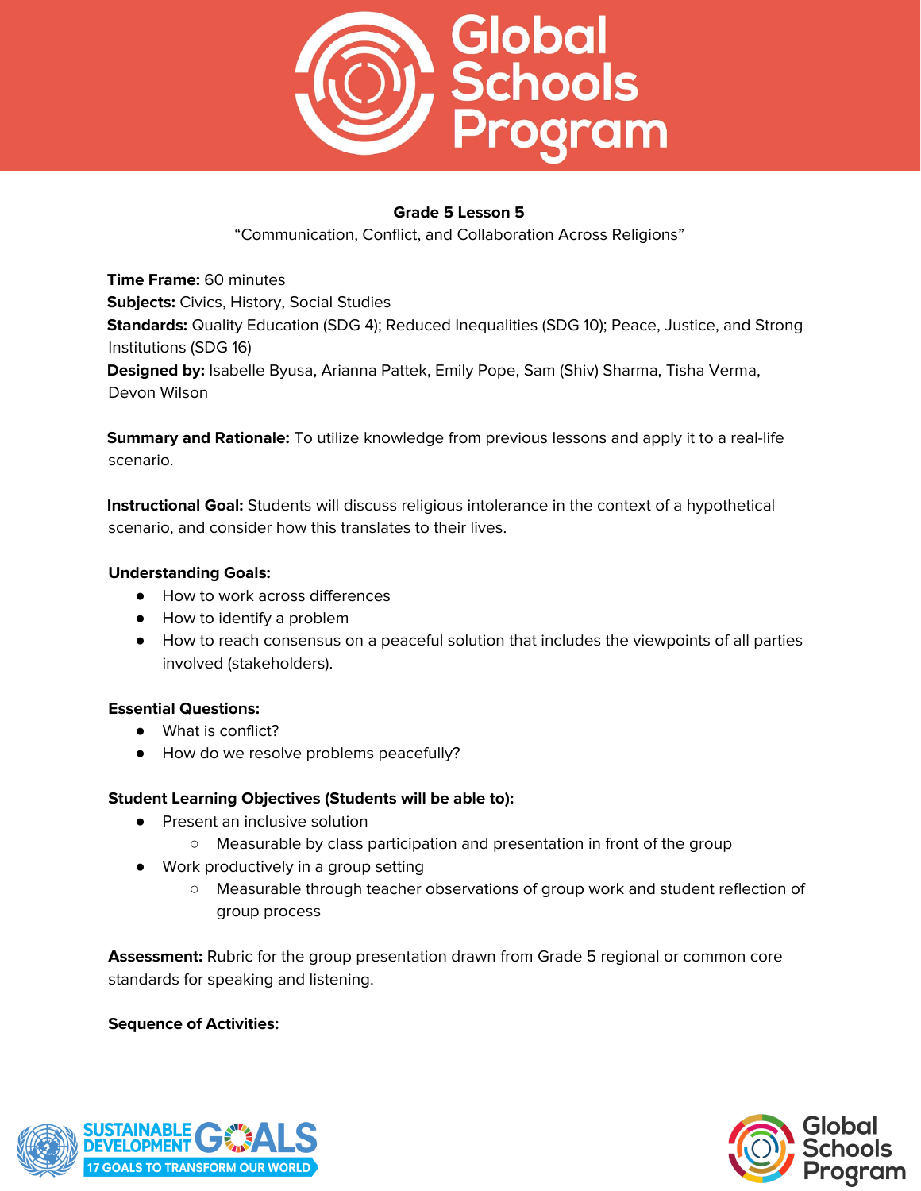

"Communication, Conflict, and Collaboration Across Religions"

**Time Frame:** 60 minutes **Subjects:** Civics, History, Social Studies **Standards:** Quality Education (SDG 4); Reduced Inequalities (SDG 10); Peace, Justice, and Strong Institutions (SDG 16) **Designed by:** Isabelle Byusa, Arianna Pattek, Emily Pope, Sam (Shiv) Sharma, Tisha Verma, Devon Wilson

**Summary and Rationale:** To utilize knowledge from previous lessons and apply it to a real-life scenario.

**Instructional Goal:** Students will discuss religious intolerance in the context of a hypothetical scenario, and consider how this translates to their lives.

## **Understanding Goals:**

- How to work across differences
- How to identify a problem
- How to reach consensus on a peaceful solution that includes the viewpoints of all parties involved (stakeholders).

# **Essential Questions:**

- What is conflict?
- How do we resolve problems peacefully?

# **Student Learning Objectives (Students will be able to):**

- Present an inclusive solution
	- Measurable by class participation and presentation in front of the group
- Work productively in a group setting
	- Measurable through teacher observations of group work and student reflection of group process

**Assessment:** Rubric for the group presentation drawn from Grade 5 regional or common core standards for speaking and listening.